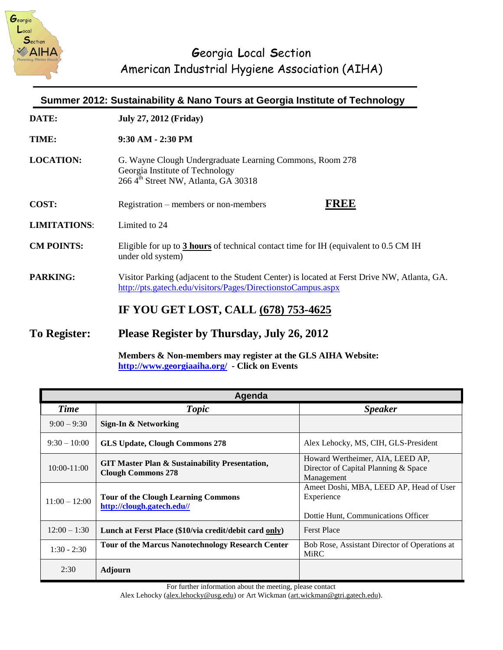

| Summer 2012: Sustainability & Nano Tours at Georgia Institute of Technology |                                                                                                                                                             |  |
|-----------------------------------------------------------------------------|-------------------------------------------------------------------------------------------------------------------------------------------------------------|--|
| DATE:                                                                       | <b>July 27, 2012 (Friday)</b>                                                                                                                               |  |
| TIME:                                                                       | 9:30 AM - 2:30 PM                                                                                                                                           |  |
| <b>LOCATION:</b>                                                            | G. Wayne Clough Undergraduate Learning Commons, Room 278<br>Georgia Institute of Technology<br>266 4 <sup>th</sup> Street NW, Atlanta, GA 30318             |  |
| COST:                                                                       | FREE<br>Registration – members or non-members                                                                                                               |  |
| <b>LIMITATIONS:</b>                                                         | Limited to 24                                                                                                                                               |  |
| <b>CM POINTS:</b>                                                           | Eligible for up to 3 hours of technical contact time for IH (equivalent to 0.5 CM IH<br>under old system)                                                   |  |
| <b>PARKING:</b>                                                             | Visitor Parking (adjacent to the Student Center) is located at Ferst Drive NW, Atlanta, GA.<br>http://pts.gatech.edu/visitors/Pages/DirectionstoCampus.aspx |  |
|                                                                             | IF YOU GET LOST, CALL (678) 753-4625                                                                                                                        |  |
| <b>To Register:</b>                                                         | Please Register by Thursday, July 26, 2012                                                                                                                  |  |

**Members & Non-members may register at the GLS AIHA Website: <http://www.georgiaaiha.org/>- Click on Events**

| Agenda          |                                                                                        |                                                                                              |  |
|-----------------|----------------------------------------------------------------------------------------|----------------------------------------------------------------------------------------------|--|
| <b>Time</b>     | Topic                                                                                  | <b>Speaker</b>                                                                               |  |
| $9:00 - 9:30$   | Sign-In & Networking                                                                   |                                                                                              |  |
| $9:30 - 10:00$  | <b>GLS Update, Clough Commons 278</b>                                                  | Alex Lehocky, MS, CIH, GLS-President                                                         |  |
| $10:00 - 11:00$ | <b>GIT Master Plan &amp; Sustainability Presentation,</b><br><b>Clough Commons 278</b> | Howard Wertheimer, AIA, LEED AP,<br>Director of Capital Planning & Space<br>Management       |  |
| $11:00 - 12:00$ | <b>Tour of the Clough Learning Commons</b><br>http://clough.gatech.edu//               | Ameet Doshi, MBA, LEED AP, Head of User<br>Experience<br>Dottie Hunt, Communications Officer |  |
| $12:00 - 1:30$  | Lunch at Ferst Place (\$10/via credit/debit card only)                                 | <b>Ferst Place</b>                                                                           |  |
| $1:30 - 2:30$   | <b>Tour of the Marcus Nanotechnology Research Center</b>                               | Bob Rose, Assistant Director of Operations at<br><b>MiRC</b>                                 |  |
| 2:30            | Adjourn                                                                                |                                                                                              |  |

For further information about the meeting, please contact

Alex Lehocky [\(alex.lehocky@usg.edu\)](mailto:alex.lehocky@usg.edu) or Art Wickman (art.wickman@gtri.gatech.edu).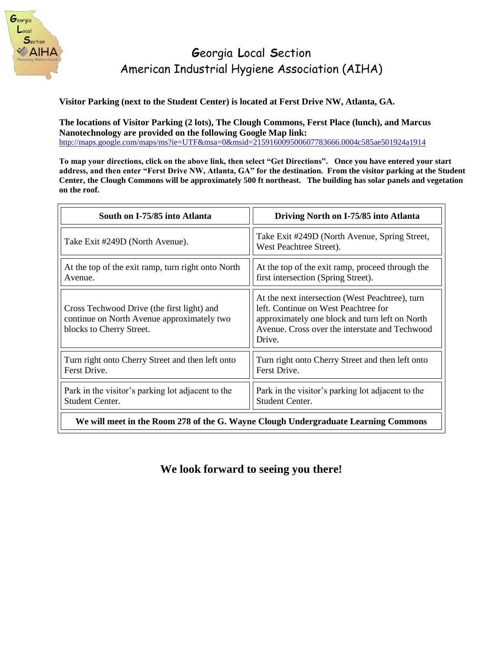

**Visitor Parking (next to the Student Center) is located at Ferst Drive NW, Atlanta, GA.** 

**The locations of Visitor Parking (2 lots), The Clough Commons, Ferst Place (lunch), and Marcus Nanotechnology are provided on the following Google Map link:** <http://maps.google.com/maps/ms?ie=UTF&msa=0&msid=215916009500607783666.0004c585ae501924a1914>

**To map your directions, click on the above link, then select "Get Directions". Once you have entered your start address, and then enter "Ferst Drive NW, Atlanta, GA" for the destination. From the visitor parking at the Student Center, the Clough Commons will be approximately 500 ft northeast. The building has solar panels and vegetation on the roof.** 

| South on I-75/85 into Atlanta                                                                                        | Driving North on I-75/85 into Atlanta                                                                                                                                                                 |  |  |
|----------------------------------------------------------------------------------------------------------------------|-------------------------------------------------------------------------------------------------------------------------------------------------------------------------------------------------------|--|--|
| Take Exit #249D (North Avenue).                                                                                      | Take Exit #249D (North Avenue, Spring Street,<br>West Peachtree Street).                                                                                                                              |  |  |
| At the top of the exit ramp, turn right onto North<br>Avenue.                                                        | At the top of the exit ramp, proceed through the<br>first intersection (Spring Street).                                                                                                               |  |  |
| Cross Techwood Drive (the first light) and<br>continue on North Avenue approximately two<br>blocks to Cherry Street. | At the next intersection (West Peachtree), turn<br>left. Continue on West Peachtree for<br>approximately one block and turn left on North<br>Avenue. Cross over the interstate and Techwood<br>Drive. |  |  |
| Turn right onto Cherry Street and then left onto<br>Ferst Drive.                                                     | Turn right onto Cherry Street and then left onto<br>Ferst Drive.                                                                                                                                      |  |  |
| Park in the visitor's parking lot adjacent to the<br>Student Center.                                                 | Park in the visitor's parking lot adjacent to the<br>Student Center.                                                                                                                                  |  |  |
| We will meet in the Room 278 of the G. Wayne Clough Undergraduate Learning Commons                                   |                                                                                                                                                                                                       |  |  |

**We look forward to seeing you there!**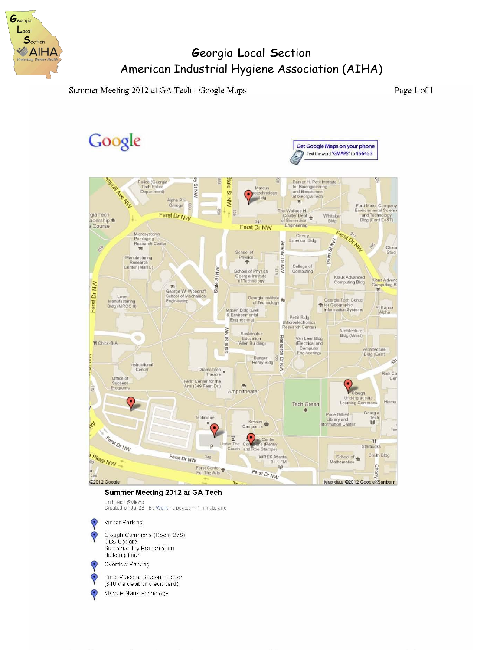

Summer Meeting 2012 at GA Tech - Google Maps

Page 1 of 1



#### Summer Meeting 2012 at GA Tech

Unlisted - 5 views<br>Created on Jul 23 - By Work - Updated < 1 minute ago

Visitor Parking  $\Theta$ 

Clough Commons (Room 278) GLS Update Sustainability Presentation **Building Tour** 

Overflow Parking

Ferst Place at Student Center  $\Theta$ (\$10 via debit or credit card)

Marcus Nanatechnology